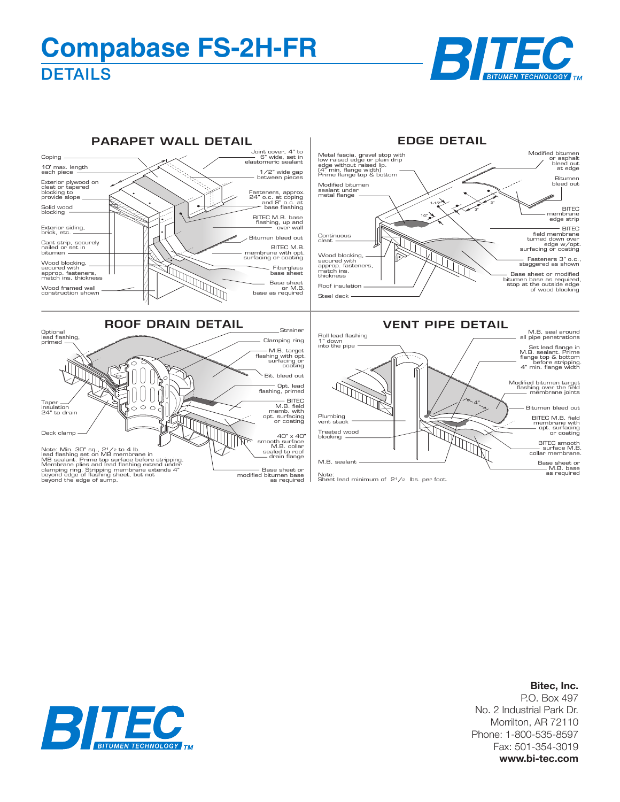## **DETAILS Compabase FS-2H-FR**





## **Bitec, Inc.**

P.O. Box 497 No. 2 Industrial Park Dr. Morrilton, AR 72110 Phone: 1-800-535-8597 Fax: 501-354-3019 **www.bi-tec.com**